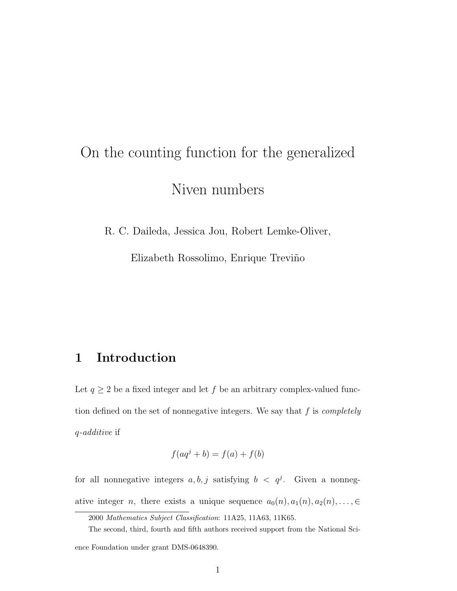# On the counting function for the generalized Niven numbers

R. C. Daileda, Jessica Jou, Robert Lemke-Oliver,

Elizabeth Rossolimo, Enrique Treviño

# 1 Introduction

Let  $q\geq 2$  be a fixed integer and let  $f$  be an arbitrary complex-valued function defined on the set of nonnegative integers. We say that  $f$  is *completely* q-additive if

$$
f(aq^j + b) = f(a) + f(b)
$$

for all nonnegative integers  $a, b, j$  satisfying  $b < q<sup>j</sup>$ . Given a nonnegative integer n, there exists a unique sequence  $a_0(n), a_1(n), a_2(n), \ldots, \in$ 

2000 Mathematics Subject Classification: 11A25, 11A63, 11K65.

The second, third, fourth and fifth authors received support from the National Sci-

ence Foundation under grant DMS-0648390.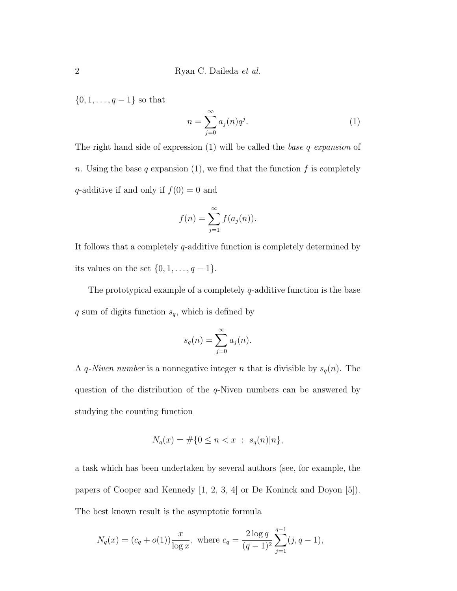$\{0,1,\ldots,q-1\}$  so that

$$
n = \sum_{j=0}^{\infty} a_j(n) q^j.
$$
 (1)

The right hand side of expression  $(1)$  will be called the *base q expansion* of n. Using the base q expansion (1), we find that the function f is completely q-additive if and only if  $f(0) = 0$  and

$$
f(n) = \sum_{j=1}^{\infty} f(a_j(n)).
$$

It follows that a completely q-additive function is completely determined by its values on the set  $\{0, 1, \ldots, q-1\}$ .

The prototypical example of a completely  $q$ -additive function is the base  $q$  sum of digits function  $s_q$ , which is defined by

$$
s_q(n) = \sum_{j=0}^{\infty} a_j(n).
$$

A *q*-Niven number is a nonnegative integer *n* that is divisible by  $s_q(n)$ . The question of the distribution of the  $q$ -Niven numbers can be answered by studying the counting function

$$
N_q(x) = \# \{ 0 \le n < x : s_q(n) \mid n \},
$$

a task which has been undertaken by several authors (see, for example, the papers of Cooper and Kennedy [1, 2, 3, 4] or De Koninck and Doyon [5]). The best known result is the asymptotic formula

$$
N_q(x) = (c_q + o(1)) \frac{x}{\log x}
$$
, where  $c_q = \frac{2 \log q}{(q-1)^2} \sum_{j=1}^{q-1} (j, q-1)$ ,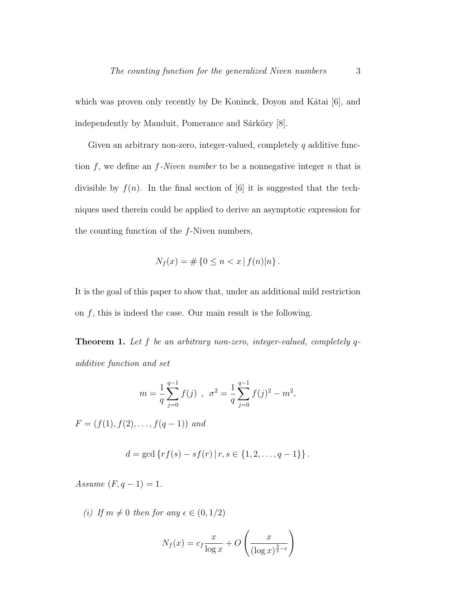which was proven only recently by De Koninck, Doyon and Kátai [6], and independently by Mauduit, Pomerance and Sárközy [8].

Given an arbitrary non-zero, integer-valued, completely  $q$  additive function  $f$ , we define an  $f$ -Niven number to be a nonnegative integer  $n$  that is divisible by  $f(n)$ . In the final section of [6] it is suggested that the techniques used therein could be applied to derive an asymptotic expression for the counting function of the f-Niven numbers,

$$
N_f(x) = \# \{ 0 \le n < x \, | \, f(n) | n \} \, .
$$

It is the goal of this paper to show that, under an additional mild restriction on  $f$ , this is indeed the case. Our main result is the following.

Theorem 1. Let f be an arbitrary non-zero, integer-valued, completely qadditive function and set

$$
m = \frac{1}{q} \sum_{j=0}^{q-1} f(j) , \sigma^2 = \frac{1}{q} \sum_{j=0}^{q-1} f(j)^2 - m^2,
$$

 $F = (f(1), f(2), \ldots, f(q-1))$  and

$$
d = \gcd \{ rf(s) - sf(r) | r, s \in \{1, 2, ..., q - 1\} \}.
$$

Assume  $(F, q - 1) = 1$ .

(i) If  $m \neq 0$  then for any  $\epsilon \in (0, 1/2)$ 

$$
N_f(x) = c_f \frac{x}{\log x} + O\left(\frac{x}{(\log x)^{\frac{3}{2}-\epsilon}}\right)
$$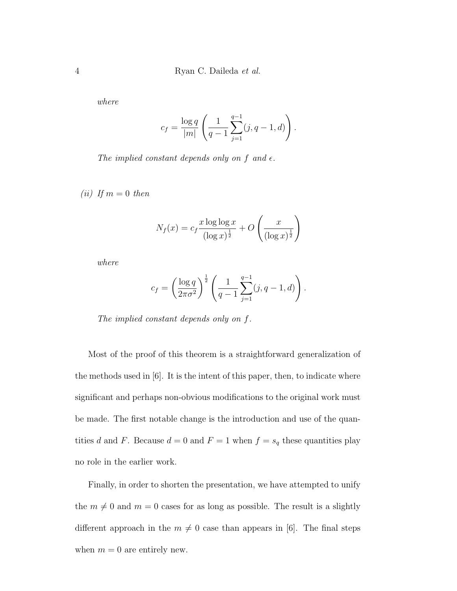where

$$
c_f = \frac{\log q}{|m|} \left( \frac{1}{q-1} \sum_{j=1}^{q-1} (j, q-1, d) \right).
$$

The implied constant depends only on f and  $\epsilon$ .

(*ii*) If  $m = 0$  then

$$
N_f(x) = c_f \frac{x \log \log x}{(\log x)^{\frac{1}{2}}} + O\left(\frac{x}{(\log x)^{\frac{1}{2}}}\right)
$$

where

$$
c_f = \left(\frac{\log q}{2\pi\sigma^2}\right)^{\frac{1}{2}} \left(\frac{1}{q-1}\sum_{j=1}^{q-1} (j, q-1, d)\right).
$$

The implied constant depends only on f.

Most of the proof of this theorem is a straightforward generalization of the methods used in [6]. It is the intent of this paper, then, to indicate where significant and perhaps non-obvious modifications to the original work must be made. The first notable change is the introduction and use of the quantities d and F. Because  $d = 0$  and  $F = 1$  when  $f = s_q$  these quantities play no role in the earlier work.

Finally, in order to shorten the presentation, we have attempted to unify the  $m \neq 0$  and  $m = 0$  cases for as long as possible. The result is a slightly different approach in the  $m \neq 0$  case than appears in [6]. The final steps when  $m = 0$  are entirely new.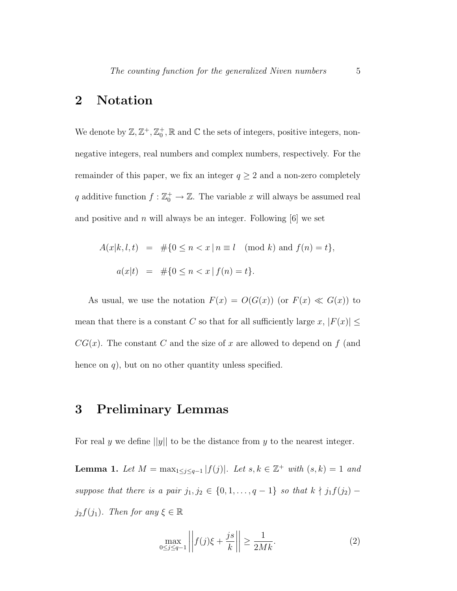# 2 Notation

We denote by  $\mathbb{Z}, \mathbb{Z}^+, \mathbb{Z}_0^+, \mathbb{R}$  and  $\mathbb C$  the sets of integers, positive integers, nonnegative integers, real numbers and complex numbers, respectively. For the remainder of this paper, we fix an integer  $q \geq 2$  and a non-zero completely q additive function  $f : \mathbb{Z}_0^+ \to \mathbb{Z}$ . The variable x will always be assumed real and positive and n will always be an integer. Following  $[6]$  we set

$$
A(x|k, l, t) = #{0 \le n < x | n \equiv l \pmod{k} \text{ and } f(n) = t},
$$
  

$$
a(x|t) = #{0 \le n < x | f(n) = t}.
$$

As usual, we use the notation  $F(x) = O(G(x))$  (or  $F(x) \ll G(x)$ ) to mean that there is a constant C so that for all sufficiently large x,  $|F(x)| \le$  $CG(x)$ . The constant C and the size of x are allowed to depend on f (and hence on  $q$ ), but on no other quantity unless specified.

### 3 Preliminary Lemmas

For real y we define  $||y||$  to be the distance from y to the nearest integer.

**Lemma 1.** Let  $M = \max_{1 \leq j \leq q-1} |f(j)|$ . Let  $s, k \in \mathbb{Z}^+$  with  $(s, k) = 1$  and suppose that there is a pair  $j_1, j_2 \in \{0, 1, \ldots, q-1\}$  so that  $k \nmid j_1 f(j_2)$  –  $j_2f(j_1)$ . Then for any  $\xi \in \mathbb{R}$ 

$$
\max_{0 \le j \le q-1} \left| \left| f(j)\xi + \frac{j s}{k} \right| \right| \ge \frac{1}{2Mk}.\tag{2}
$$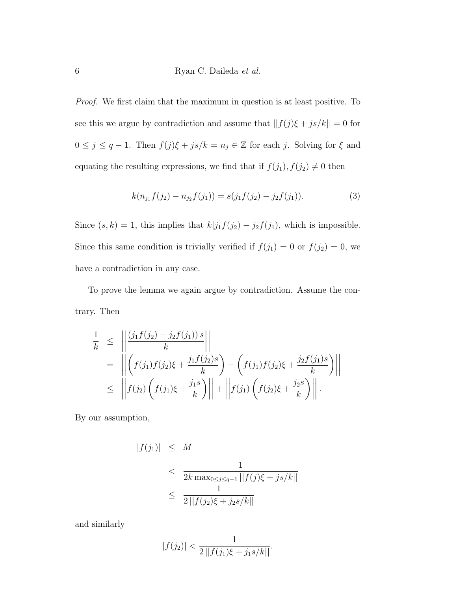Proof. We first claim that the maximum in question is at least positive. To see this we argue by contradiction and assume that  $||f(j)\xi + j s/k|| = 0$  for  $0 \leq j \leq q-1$ . Then  $f(j)\xi + js/k = n_j \in \mathbb{Z}$  for each j. Solving for  $\xi$  and equating the resulting expressions, we find that if  $f(j_1)$ ,  $f(j_2) \neq 0$  then

$$
k(n_{j_1}f(j_2) - n_{j_2}f(j_1)) = s(j_1f(j_2) - j_2f(j_1)).
$$
\n(3)

Since  $(s, k) = 1$ , this implies that  $k|j_1f(j_2) - j_2f(j_1)$ , which is impossible. Since this same condition is trivially verified if  $f(j_1) = 0$  or  $f(j_2) = 0$ , we have a contradiction in any case.

To prove the lemma we again argue by contradiction. Assume the contrary. Then

$$
\frac{1}{k} \leq \left\| \frac{\left(j_1 f(j_2) - j_2 f(j_1)\right) s}{k} \right\|
$$
\n
$$
= \left\| \left(f(j_1) f(j_2) \xi + \frac{j_1 f(j_2) s}{k}\right) - \left(f(j_1) f(j_2) \xi + \frac{j_2 f(j_1) s}{k}\right) \right\|
$$
\n
$$
\leq \left\| f(j_2) \left(f(j_1) \xi + \frac{j_1 s}{k}\right) \right\| + \left\| f(j_1) \left(f(j_2) \xi + \frac{j_2 s}{k}\right) \right\|.
$$

By our assumption,

$$
|f(j_1)| \leq M
$$
  

$$
< \frac{1}{2k \max_{0 \leq j \leq q-1} ||f(j)\xi + js/k||}
$$
  

$$
\leq \frac{1}{2||f(j_2)\xi + j_2s/k||}
$$

and similarly

$$
|f(j_2)| < \frac{1}{2\left| |f(j_1)\xi + j_1s/k| \right|}.
$$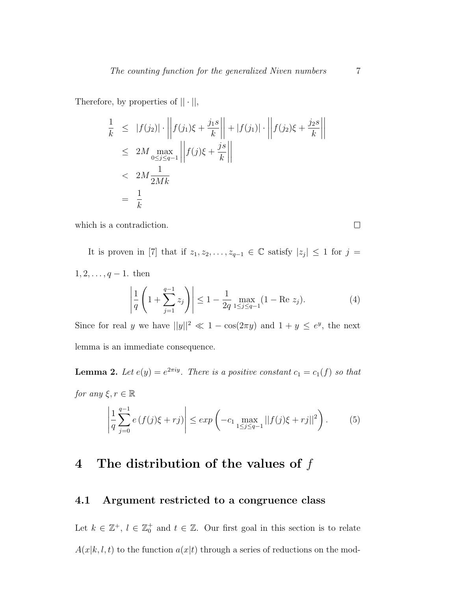Therefore, by properties of  $|| \cdot ||$ ,

$$
\frac{1}{k} \leq |f(j_2)| \cdot \left\| f(j_1)\xi + \frac{j_1 s}{k} \right\| + |f(j_1)| \cdot \left\| f(j_2)\xi + \frac{j_2 s}{k} \right\|
$$
\n
$$
\leq 2M \max_{0 \leq j \leq q-1} \left\| f(j)\xi + \frac{j s}{k} \right\|
$$
\n
$$
< 2M \frac{1}{2Mk}
$$
\n
$$
= \frac{1}{k}
$$

which is a contradiction.

It is proven in [7] that if  $z_1, z_2, \ldots, z_{q-1} \in \mathbb{C}$  satisfy  $|z_j| \leq 1$  for  $j =$  $1, 2, \ldots, q-1$ . then

$$
\left| \frac{1}{q} \left( 1 + \sum_{j=1}^{q-1} z_j \right) \right| \le 1 - \frac{1}{2q} \max_{1 \le j \le q-1} (1 - \text{Re } z_j). \tag{4}
$$

Since for real y we have  $||y||^2 \ll 1 - \cos(2\pi y)$  and  $1 + y \leq e^y$ , the next lemma is an immediate consequence.

**Lemma 2.** Let  $e(y) = e^{2\pi iy}$ . There is a positive constant  $c_1 = c_1(f)$  so that for any  $\xi, r \in \mathbb{R}$ 

$$
\left| \frac{1}{q} \sum_{j=0}^{q-1} e(f(j)\xi + rj) \right| \le \exp\left( -c_1 \max_{1 \le j \le q-1} ||f(j)\xi + rj||^2 \right).
$$
 (5)

# 4 The distribution of the values of  $f$

#### 4.1 Argument restricted to a congruence class

Let  $k \in \mathbb{Z}^+$ ,  $l \in \mathbb{Z}_0^+$  and  $t \in \mathbb{Z}$ . Our first goal in this section is to relate  $A(x|k, l, t)$  to the function  $a(x|t)$  through a series of reductions on the mod-

 $\Box$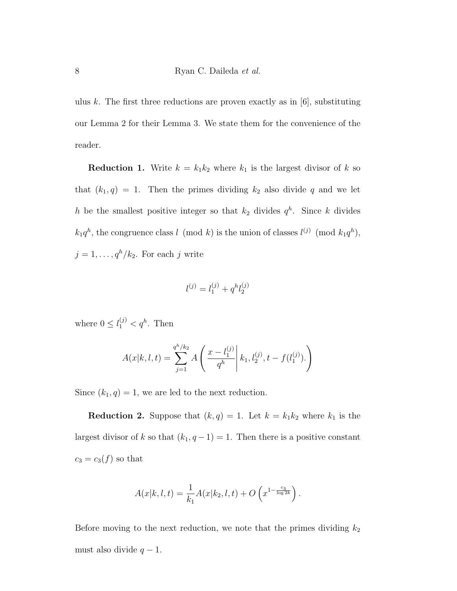ulus k. The first three reductions are proven exactly as in  $[6]$ , substituting our Lemma 2 for their Lemma 3. We state them for the convenience of the reader.

**Reduction 1.** Write  $k = k_1 k_2$  where  $k_1$  is the largest divisor of k so that  $(k_1, q) = 1$ . Then the primes dividing  $k_2$  also divide q and we let h be the smallest positive integer so that  $k_2$  divides  $q^h$ . Since k divides  $k_1q^h$ , the congruence class l (mod k) is the union of classes  $l^{(j)}$  (mod  $k_1q^h$ ),  $j = 1, \ldots, q^h/k_2$ . For each j write

$$
l^{(j)} = l_1^{(j)} + q^h l_2^{(j)}
$$

where  $0 \leq l_1^{(j)} < q^h$ . Then

$$
A(x|k, l, t) = \sum_{j=1}^{q^h/k_2} A\left(\frac{x - l_1^{(j)}}{q^h}\middle| k_1, l_2^{(j)}, t - f(l_1^{(j)}).
$$

Since  $(k_1, q) = 1$ , we are led to the next reduction.

**Reduction 2.** Suppose that  $(k, q) = 1$ . Let  $k = k_1 k_2$  where  $k_1$  is the largest divisor of k so that  $(k_1, q-1) = 1$ . Then there is a positive constant  $c_3 = c_3(f)$  so that

$$
A(x|k, l, t) = \frac{1}{k_1} A(x|k_2, l, t) + O\left(x^{1 - \frac{c_3}{\log 2k}}\right).
$$

Before moving to the next reduction, we note that the primes dividing  $k_2$ must also divide  $q - 1$ .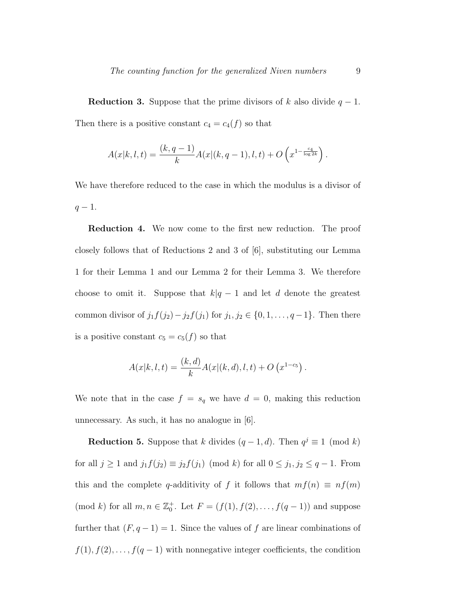**Reduction 3.** Suppose that the prime divisors of k also divide  $q - 1$ . Then there is a positive constant  $c_4 = c_4(f)$  so that

$$
A(x|k, l, t) = \frac{(k, q - 1)}{k} A(x|(k, q - 1), l, t) + O\left(x^{1 - \frac{c_4}{\log 2k}}\right).
$$

We have therefore reduced to the case in which the modulus is a divisor of  $q-1$ .

Reduction 4. We now come to the first new reduction. The proof closely follows that of Reductions 2 and 3 of [6], substituting our Lemma 1 for their Lemma 1 and our Lemma 2 for their Lemma 3. We therefore choose to omit it. Suppose that  $k|q-1$  and let d denote the greatest common divisor of  $j_1f(j_2)-j_2f(j_1)$  for  $j_1, j_2 \in \{0, 1, \ldots, q-1\}$ . Then there is a positive constant  $c_5 = c_5(f)$  so that

$$
A(x|k, l, t) = \frac{(k, d)}{k} A(x|(k, d), l, t) + O(x^{1-c_5}).
$$

We note that in the case  $f = s_q$  we have  $d = 0$ , making this reduction unnecessary. As such, it has no analogue in [6].

**Reduction 5.** Suppose that k divides  $(q-1, d)$ . Then  $q^j \equiv 1 \pmod{k}$ for all  $j \ge 1$  and  $j_1 f(j_2) \equiv j_2 f(j_1) \pmod{k}$  for all  $0 \le j_1, j_2 \le q - 1$ . From this and the complete q-additivity of f it follows that  $mf(n) \equiv nf(m)$ (mod k) for all  $m, n \in \mathbb{Z}_0^+$ . Let  $F = (f(1), f(2), \ldots, f(q-1))$  and suppose further that  $(F, q - 1) = 1$ . Since the values of f are linear combinations of  $f(1), f(2), \ldots, f(q-1)$  with nonnegative integer coefficients, the condition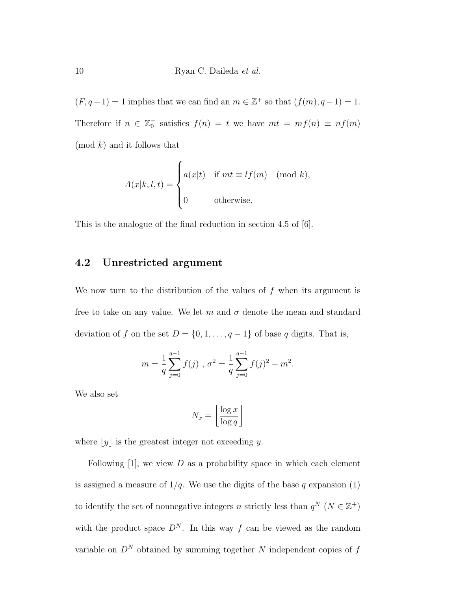$(F, q-1) = 1$  implies that we can find an  $m \in \mathbb{Z}^+$  so that  $(f(m), q-1) = 1$ . Therefore if  $n \in \mathbb{Z}_0^+$  satisfies  $f(n) = t$  we have  $mt = mf(n) \equiv nf(m)$  $\pmod{k}$  and it follows that

$$
A(x|k, l, t) = \begin{cases} a(x|t) & \text{if } mt \equiv lf(m) \pmod{k}, \\ 0 & \text{otherwise.} \end{cases}
$$

This is the analogue of the final reduction in section 4.5 of [6].

#### 4.2 Unrestricted argument

We now turn to the distribution of the values of  $f$  when its argument is free to take on any value. We let m and  $\sigma$  denote the mean and standard deviation of f on the set  $D = \{0, 1, \ldots, q - 1\}$  of base q digits. That is,

$$
m = \frac{1}{q} \sum_{j=0}^{q-1} f(j) , \sigma^2 = \frac{1}{q} \sum_{j=0}^{q-1} f(j)^2 - m^2.
$$

We also set

$$
N_x = \left\lfloor \frac{\log x}{\log q} \right\rfloor
$$

where  $[y]$  is the greatest integer not exceeding y.

Following  $[1]$ , we view D as a probability space in which each element is assigned a measure of  $1/q$ . We use the digits of the base q expansion (1) to identify the set of nonnegative integers n strictly less than  $q^N$   $(N \in \mathbb{Z}^+)$ with the product space  $D^N$ . In this way f can be viewed as the random variable on  $D^N$  obtained by summing together N independent copies of  $f$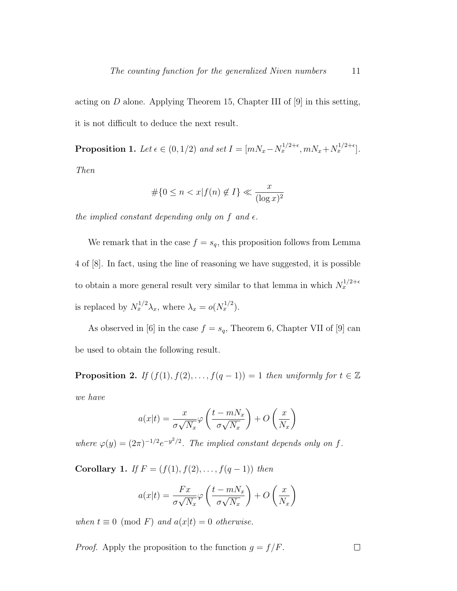acting on  $D$  alone. Applying Theorem 15, Chapter III of  $[9]$  in this setting, it is not difficult to deduce the next result.

**Proposition 1.** Let  $\epsilon \in (0, 1/2)$  and set  $I = [mN_x - N_x^{1/2 + \epsilon}, mN_x + N_x^{1/2 + \epsilon}]$ . Then

$$
\#\{0 \le n < x | f(n) \notin I\} \ll \frac{x}{(\log x)^2}
$$

the implied constant depending only on f and  $\epsilon$ .

We remark that in the case  $f = s_q$ , this proposition follows from Lemma 4 of [8]. In fact, using the line of reasoning we have suggested, it is possible to obtain a more general result very similar to that lemma in which  $N_x^{1/2+\epsilon}$ is replaced by  $N_x^{1/2}\lambda_x$ , where  $\lambda_x = o(N_x^{1/2})$ .

As observed in [6] in the case  $f = s_q$ , Theorem 6, Chapter VII of [9] can be used to obtain the following result.

**Proposition 2.** If  $(f(1), f(2), \ldots, f(q-1)) = 1$  then uniformly for  $t \in \mathbb{Z}$ we have

$$
a(x|t) = \frac{x}{\sigma\sqrt{N_x}} \varphi\left(\frac{t - mN_x}{\sigma\sqrt{N_x}}\right) + O\left(\frac{x}{N_x}\right)
$$

where  $\varphi(y) = (2\pi)^{-1/2} e^{-y^2/2}$ . The implied constant depends only on f.

Corollary 1. If  $F = (f(1), f(2), \ldots, f(q-1))$  then

$$
a(x|t) = \frac{Fx}{\sigma\sqrt{N_x}}\varphi\left(\frac{t - mN_x}{\sigma\sqrt{N_x}}\right) + O\left(\frac{x}{N_x}\right)
$$

when  $t \equiv 0 \pmod{F}$  and  $a(x|t) = 0$  otherwise.

*Proof.* Apply the proposition to the function  $g = f/F$ .  $\Box$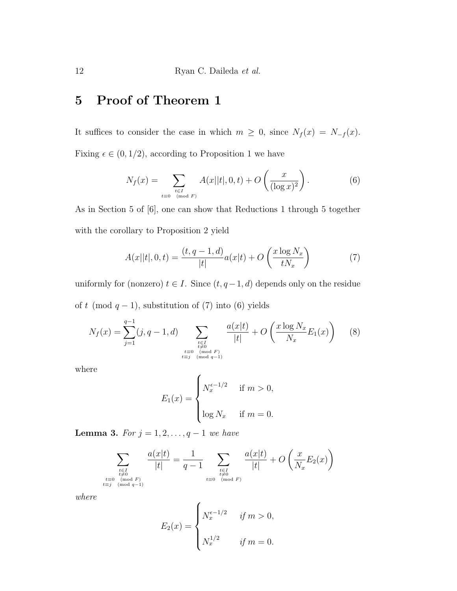# 5 Proof of Theorem 1

It suffices to consider the case in which  $m \geq 0$ , since  $N_f(x) = N_{-f}(x)$ . Fixing  $\epsilon \in (0, 1/2)$ , according to Proposition 1 we have

$$
N_f(x) = \sum_{\substack{t \in I \\ t \equiv 0 \pmod{F}}} A(x||t|, 0, t) + O\left(\frac{x}{(\log x)^2}\right).
$$
 (6)

As in Section 5 of [6], one can show that Reductions 1 through 5 together with the corollary to Proposition 2 yield

$$
A(x||t|, 0, t) = \frac{(t, q - 1, d)}{|t|} a(x|t) + O\left(\frac{x \log N_x}{tN_x}\right)
$$
(7)

uniformly for (nonzero)  $t \in I$ . Since  $(t, q-1, d)$  depends only on the residue of t (mod  $q - 1$ ), substitution of (7) into (6) yields

$$
N_f(x) = \sum_{j=1}^{q-1} (j, q-1, d) \sum_{\substack{t \in I \\ t \neq 0 \\ t \equiv 0 \pmod{F} \\ t \equiv j \pmod{q-1}}} \frac{a(x|t)}{|t|} + O\left(\frac{x \log N_x}{N_x} E_1(x)\right) \tag{8}
$$

where

$$
E_1(x) = \begin{cases} N_x^{\epsilon - 1/2} & \text{if } m > 0, \\ \log N_x & \text{if } m = 0. \end{cases}
$$

**Lemma 3.** For  $j = 1, 2, ..., q - 1$  we have

$$
\sum_{\substack{t \in I \\ t \neq 0 \\ t \equiv 0 \pmod{F} \\ t \equiv j \pmod{q-1}}} \frac{a(x|t)}{|t|} = \frac{1}{q-1} \sum_{\substack{t \in I \\ t \neq 0 \\ t \equiv 0 \pmod{F}}} \frac{a(x|t)}{|t|} + O\left(\frac{x}{N_x}E_2(x)\right)
$$

where

$$
E_2(x) = \begin{cases} N_x^{\epsilon - 1/2} & \text{if } m > 0, \\ N_x^{1/2} & \text{if } m = 0. \end{cases}
$$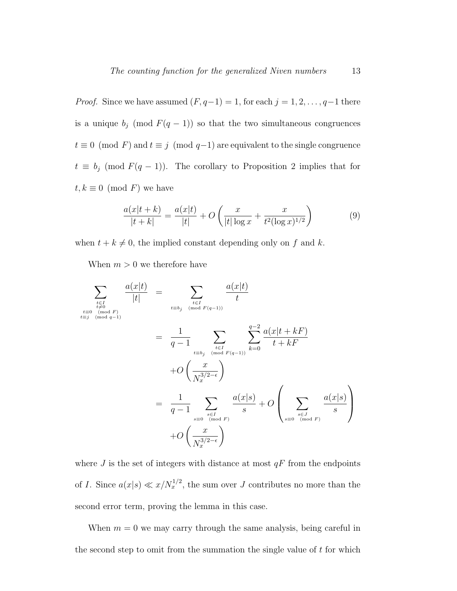*Proof.* Since we have assumed  $(F, q-1) = 1$ , for each  $j = 1, 2, \ldots, q-1$  there is a unique  $b_j \pmod{F(q-1)}$  so that the two simultaneous congruences  $t \equiv 0 \pmod{F}$  and  $t \equiv j \pmod{q-1}$  are equivalent to the single congruence  $t \equiv b_j \pmod{F(q-1)}$ . The corollary to Proposition 2 implies that for  $t, k \equiv 0 \pmod{F}$  we have

$$
\frac{a(x|t+k)}{|t+k|} = \frac{a(x|t)}{|t|} + O\left(\frac{x}{|t|\log x} + \frac{x}{t^2(\log x)^{1/2}}\right)
$$
(9)

when  $t + k \neq 0$ , the implied constant depending only on f and k.

When  $m > 0$  we therefore have

$$
\sum_{\substack{t \in I \\ t \equiv 0 \pmod{F} \\ t \equiv j \pmod{F}}} \frac{a(x|t)}{|t|} = \sum_{\substack{t \in I \\ t \equiv b_j \pmod{F(q-1)}}} \frac{a(x|t)}{t}
$$
\n
$$
= \frac{1}{q-1} \sum_{\substack{t \in I \\ t \equiv b_j \pmod{F(q-1)}}} \sum_{\substack{t \in I \\ \text{mod } F(q-1) \text{ is odd}}} \frac{a(x|t+kF)}{t+kF}
$$
\n
$$
+O\left(\frac{x}{N_x^{3/2-\epsilon}}\right)
$$
\n
$$
= \frac{1}{q-1} \sum_{\substack{s \in I \\ s \equiv 0 \pmod{F} \\ s \equiv 0 \pmod{F}}} \frac{a(x|s)}{s} + O\left(\sum_{\substack{s \in J \\ s \equiv 0 \pmod{F} \\ s \equiv 0 \pmod{F}}} \frac{a(x|s)}{s}\right)
$$

where  $J$  is the set of integers with distance at most  $qF$  from the endpoints of I. Since  $a(x|s) \ll x/N_x^{1/2}$ , the sum over J contributes no more than the second error term, proving the lemma in this case.

When  $m = 0$  we may carry through the same analysis, being careful in the second step to omit from the summation the single value of  $t$  for which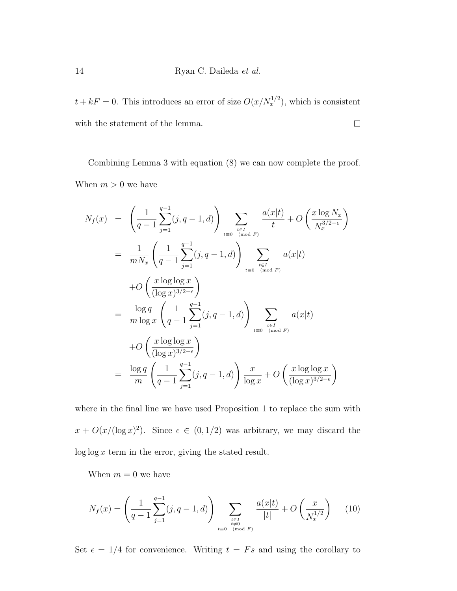$t + kF = 0$ . This introduces an error of size  $O(x/N_x^{1/2})$ , which is consistent with the statement of the lemma.  $\Box$ 

Combining Lemma 3 with equation (8) we can now complete the proof. When  $m > 0$  we have

$$
N_f(x) = \left(\frac{1}{q-1} \sum_{j=1}^{q-1} (j, q-1, d)\right) \sum_{\substack{t \in I \\ t \equiv 0 \pmod{F}}} \frac{a(x|t)}{t} + O\left(\frac{x \log N_x}{N_x^{3/2-\epsilon}}\right)
$$
  
\n
$$
= \frac{1}{m N_x} \left(\frac{1}{q-1} \sum_{j=1}^{q-1} (j, q-1, d)\right) \sum_{\substack{t \in I \\ t \equiv 0 \pmod{F}}} a(x|t)
$$
  
\n
$$
+ O\left(\frac{x \log \log x}{(\log x)^{3/2-\epsilon}}\right)
$$
  
\n
$$
= \frac{\log q}{m \log x} \left(\frac{1}{q-1} \sum_{j=1}^{q-1} (j, q-1, d)\right) \sum_{\substack{t \in I \\ t \equiv 0 \pmod{F}}} a(x|t)
$$
  
\n
$$
+ O\left(\frac{x \log \log x}{(\log x)^{3/2-\epsilon}}\right)
$$
  
\n
$$
= \frac{\log q}{m} \left(\frac{1}{q-1} \sum_{j=1}^{q-1} (j, q-1, d)\right) \frac{x}{\log x} + O\left(\frac{x \log \log x}{(\log x)^{3/2-\epsilon}}\right)
$$

where in the final line we have used Proposition 1 to replace the sum with  $x + O(x/(\log x)^2)$ . Since  $\epsilon \in (0, 1/2)$  was arbitrary, we may discard the  $\log \log x$  term in the error, giving the stated result.

When  $m = 0$  we have

$$
N_f(x) = \left(\frac{1}{q-1} \sum_{j=1}^{q-1} (j, q-1, d) \right) \sum_{\substack{t \in I \\ t \neq 0 \\ t \equiv 0 \pmod{F}}} \frac{a(x|t)}{|t|} + O\left(\frac{x}{N_x^{1/2}}\right) \tag{10}
$$

Set  $\epsilon = 1/4$  for convenience. Writing  $t = Fs$  and using the corollary to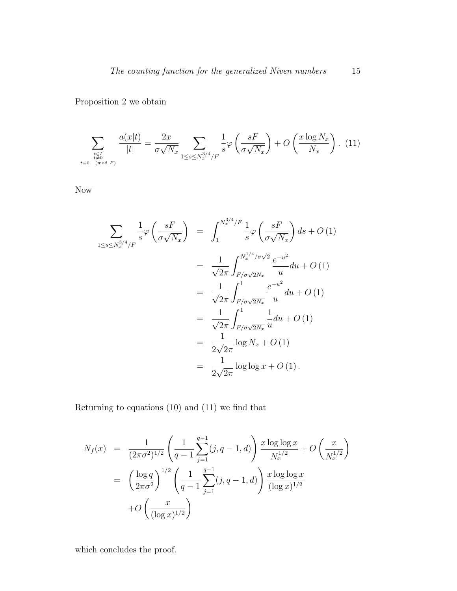Proposition 2 we obtain

$$
\sum_{\substack{t \in I \\ t \neq 0 \pmod{F}}} \frac{a(x|t)}{|t|} = \frac{2x}{\sigma\sqrt{N_x}} \sum_{1 \le s \le N_x^{3/4}/F} \frac{1}{s} \varphi\left(\frac{sF}{\sigma\sqrt{N_x}}\right) + O\left(\frac{x\log N_x}{N_x}\right). (11)
$$

Now

$$
\sum_{1 \le s \le N_x^{3/4}/F} \frac{1}{s} \varphi \left( \frac{sF}{\sigma \sqrt{N_x}} \right) = \int_1^{N_x^{3/4}/F} \frac{1}{s} \varphi \left( \frac{sF}{\sigma \sqrt{N_x}} \right) ds + O(1)
$$
  
\n
$$
= \frac{1}{\sqrt{2\pi}} \int_{F/\sigma \sqrt{2N_x}}^{N_x^{1/4}/\sigma \sqrt{2}} \frac{e^{-u^2}}{u} du + O(1)
$$
  
\n
$$
= \frac{1}{\sqrt{2\pi}} \int_{F/\sigma \sqrt{2N_x}}^{1} \frac{e^{-u^2}}{u} du + O(1)
$$
  
\n
$$
= \frac{1}{\sqrt{2\pi}} \int_{F/\sigma \sqrt{2N_x}}^{1} \frac{1}{u} du + O(1)
$$
  
\n
$$
= \frac{1}{2\sqrt{2\pi}} \log N_x + O(1)
$$
  
\n
$$
= \frac{1}{2\sqrt{2\pi}} \log \log x + O(1).
$$

Returning to equations (10) and (11) we find that

$$
N_f(x) = \frac{1}{(2\pi\sigma^2)^{1/2}} \left( \frac{1}{q-1} \sum_{j=1}^{q-1} (j, q-1, d) \right) \frac{x \log \log x}{N_x^{1/2}} + O\left(\frac{x}{N_x^{1/2}}\right)
$$
  
= 
$$
\left( \frac{\log q}{2\pi\sigma^2} \right)^{1/2} \left( \frac{1}{q-1} \sum_{j=1}^{q-1} (j, q-1, d) \right) \frac{x \log \log x}{(\log x)^{1/2}}
$$
  
+ 
$$
O\left(\frac{x}{(\log x)^{1/2}}\right)
$$

which concludes the proof.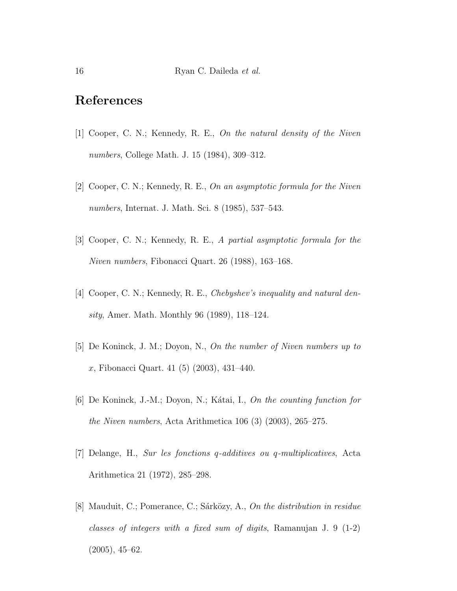## References

- [1] Cooper, C. N.; Kennedy, R. E., On the natural density of the Niven numbers, College Math. J. 15 (1984), 309–312.
- [2] Cooper, C. N.; Kennedy, R. E., On an asymptotic formula for the Niven numbers, Internat. J. Math. Sci. 8 (1985), 537–543.
- [3] Cooper, C. N.; Kennedy, R. E., A partial asymptotic formula for the Niven numbers, Fibonacci Quart. 26 (1988), 163–168.
- [4] Cooper, C. N.; Kennedy, R. E., Chebyshev's inequality and natural density, Amer. Math. Monthly 96 (1989), 118–124.
- [5] De Koninck, J. M.; Doyon, N., On the number of Niven numbers up to x, Fibonacci Quart. 41 (5) (2003), 431–440.
- [6] De Koninck, J.-M.; Doyon, N.; Kátai, I., On the counting function for the Niven numbers, Acta Arithmetica 106 (3) (2003), 265–275.
- [7] Delange, H., Sur les fonctions q-additives ou q-multiplicatives, Acta Arithmetica 21 (1972), 285–298.
- [8] Mauduit, C.; Pomerance, C.; Sárközy, A., On the distribution in residue classes of integers with a fixed sum of digits, Ramanujan J. 9 (1-2) (2005), 45–62.